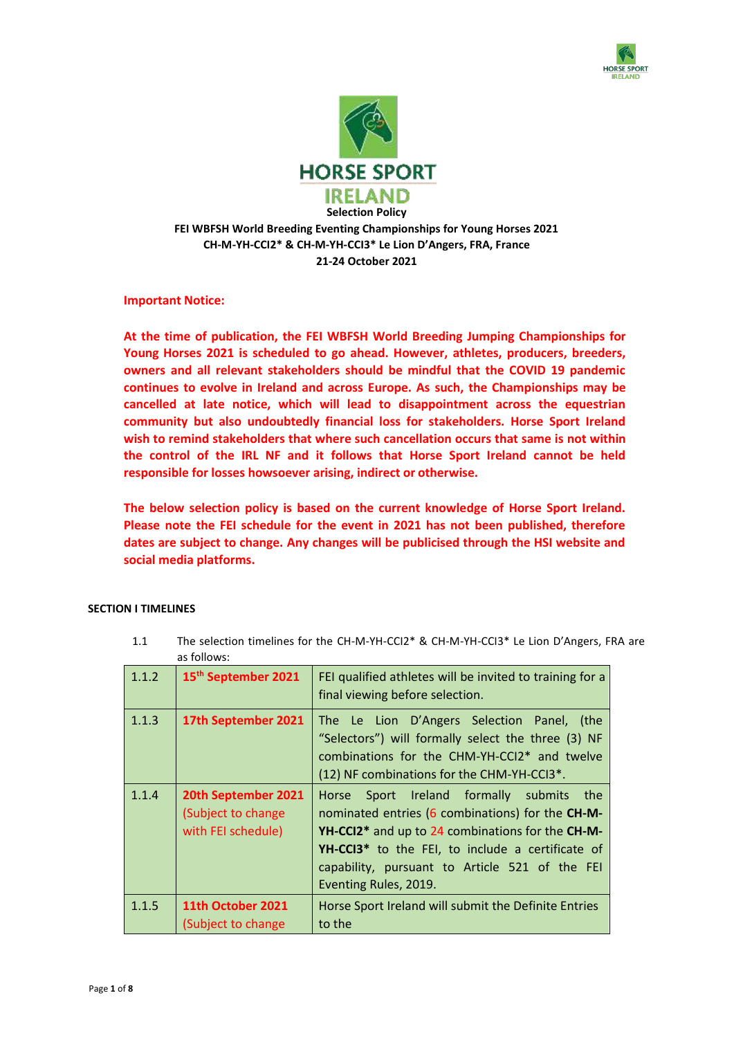



**21-24 October 2021**

**Important Notice:**

**At the time of publication, the FEI WBFSH World Breeding Jumping Championships for Young Horses 2021 is scheduled to go ahead. However, athletes, producers, breeders, owners and all relevant stakeholders should be mindful that the COVID 19 pandemic continues to evolve in Ireland and across Europe. As such, the Championships may be cancelled at late notice, which will lead to disappointment across the equestrian community but also undoubtedly financial loss for stakeholders. Horse Sport Ireland wish to remind stakeholders that where such cancellation occurs that same is not within the control of the IRL NF and it follows that Horse Sport Ireland cannot be held responsible for losses howsoever arising, indirect or otherwise.**

**The below selection policy is based on the current knowledge of Horse Sport Ireland. Please note the FEI schedule for the event in 2021 has not been published, therefore dates are subject to change. Any changes will be publicised through the HSI website and social media platforms.**

# **SECTION I TIMELINES**

| 1.1.2 | 15 <sup>th</sup> September 2021                                 | FEI qualified athletes will be invited to training for a<br>final viewing before selection.                                                                                                                                                                                                             |
|-------|-----------------------------------------------------------------|---------------------------------------------------------------------------------------------------------------------------------------------------------------------------------------------------------------------------------------------------------------------------------------------------------|
| 1.1.3 | 17th September 2021                                             | The Le Lion D'Angers Selection Panel, (the<br>"Selectors") will formally select the three (3) NF<br>combinations for the CHM-YH-CCI2* and twelve<br>(12) NF combinations for the CHM-YH-CCI3*.                                                                                                          |
| 1.1.4 | 20th September 2021<br>(Subject to change<br>with FEI schedule) | Horse Sport Ireland formally submits the<br>nominated entries (6 combinations) for the CH-M-<br>YH-CCI2 <sup>*</sup> and up to 24 combinations for the CH-M-<br>YH-CCI3 <sup>*</sup> to the FEI, to include a certificate of<br>capability, pursuant to Article 521 of the FEI<br>Eventing Rules, 2019. |
| 1.1.5 | 11th October 2021<br>(Subject to change                         | Horse Sport Ireland will submit the Definite Entries<br>to the                                                                                                                                                                                                                                          |

1.1 The selection timelines for the CH-M-YH-CCI2\* & CH-M-YH-CCI3\* Le Lion D'Angers, FRA are as follows: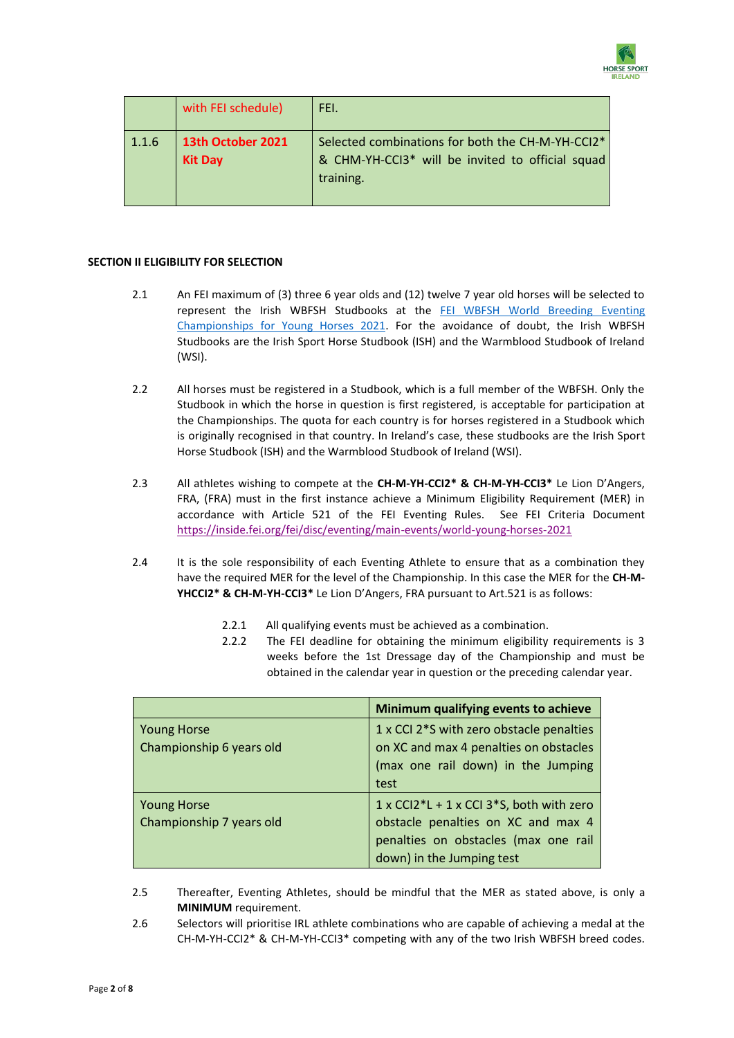

|       | with FEI schedule)                  | FEI.                                                                                                                          |
|-------|-------------------------------------|-------------------------------------------------------------------------------------------------------------------------------|
| 1.1.6 | 13th October 2021<br><b>Kit Day</b> | Selected combinations for both the CH-M-YH-CCI2*<br>& CHM-YH-CCI3 <sup>*</sup> will be invited to official squad<br>training. |

# **SECTION II ELIGIBILITY FOR SELECTION**

- 2.1 An FEI maximum of (3) three 6 year olds and (12) twelve 7 year old horses will be selected to represent the Irish WBFSH Studbooks at the [FEI WBFSH World Breeding Eventing](https://inside.fei.org/fei/events/championships/eventing/le-lion-2018) Championships for Young Horses 202[1.](https://inside.fei.org/fei/events/championships/eventing/le-lion-2018) For the avoidance of doubt, the Irish WBFSH Studbooks are the Irish Sport Horse Studbook (ISH) and the Warmblood Studbook of Ireland (WSI).
- 2.2 All horses must be registered in a Studbook, which is a full member of the WBFSH. Only the Studbook in which the horse in question is first registered, is acceptable for participation at the Championships. The quota for each country is for horses registered in a Studbook which is originally recognised in that country. In Ireland's case, these studbooks are the Irish Sport Horse Studbook (ISH) and the Warmblood Studbook of Ireland (WSI).
- 2.3 All athletes wishing to compete at the **CH-M-YH-CCI2\* & CH-M-YH-CCI3\*** Le Lion D'Angers, FRA, (FRA) must in the first instance achieve a Minimum Eligibility Requirement (MER) in accordance with Article 521 of the FEI Eventing Rules. See FEI Criteria Document <https://inside.fei.org/fei/disc/eventing/main-events/world-young-horses-2021>
- 2.4 It is the sole responsibility of each Eventing Athlete to ensure that as a combination they have the required MER for the level of the Championship. In this case the MER for the **CH-M-YHCCI2\* & CH-M-YH-CCI3\*** Le Lion D'Angers, FRA pursuant to Art.521 is as follows:
	- 2.2.1 All qualifying events must be achieved as a combination.
	- 2.2.2 The FEI deadline for obtaining the minimum eligibility requirements is 3 weeks before the 1st Dressage day of the Championship and must be obtained in the calendar year in question or the preceding calendar year.

|                          | Minimum qualifying events to achieve     |
|--------------------------|------------------------------------------|
| <b>Young Horse</b>       | 1 x CCI 2*S with zero obstacle penalties |
| Championship 6 years old | on XC and max 4 penalties on obstacles   |
|                          | (max one rail down) in the Jumping       |
|                          | test                                     |
| <b>Young Horse</b>       | 1 x CCI2*L + 1 x CCI 3*S, both with zero |
| Championship 7 years old | obstacle penalties on XC and max 4       |
|                          | penalties on obstacles (max one rail     |
|                          | down) in the Jumping test                |

- 2.5 Thereafter, Eventing Athletes, should be mindful that the MER as stated above, is only a **MINIMUM** requirement.
- 2.6 Selectors will prioritise IRL athlete combinations who are capable of achieving a medal at the CH-M-YH-CCI2\* & CH-M-YH-CCI3\* competing with any of the two Irish WBFSH breed codes.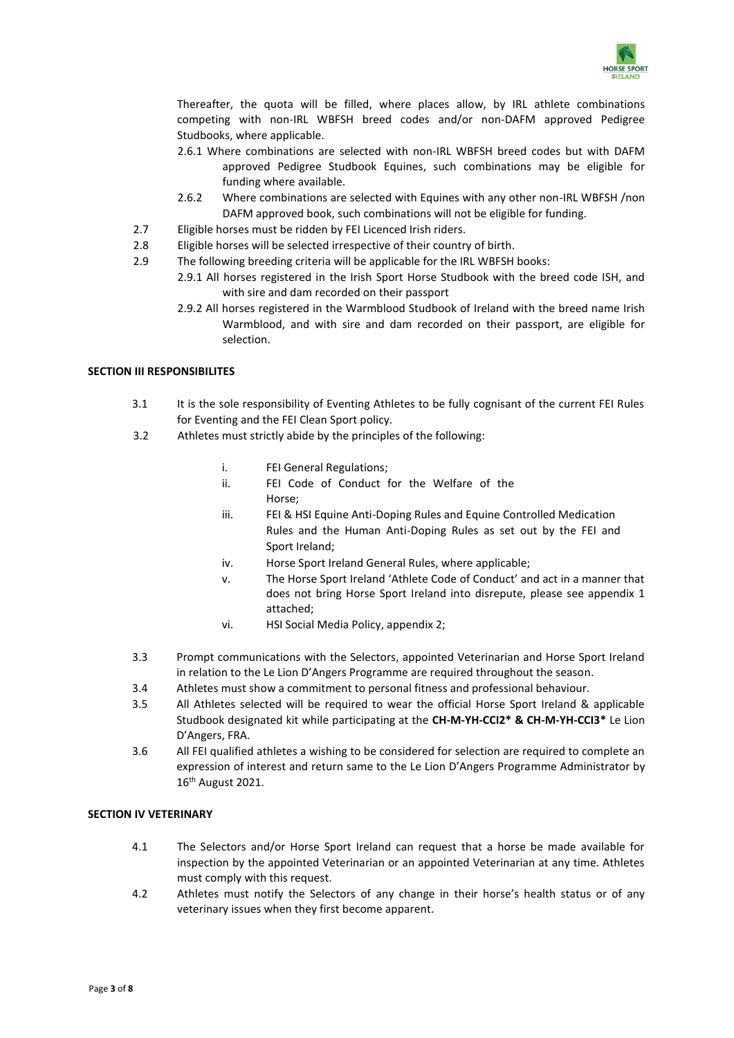

Thereafter, the quota will be filled, where places allow, by IRL athlete combinations competing with non-IRL WBFSH breed codes and/or non-DAFM approved Pedigree Studbooks, where applicable.

- 2.6.1 Where combinations are selected with non-IRL WBFSH breed codes but with DAFM approved Pedigree Studbook Equines, such combinations may be eligible for funding where available.
- 2.6.2 Where combinations are selected with Equines with any other non-IRL WBFSH /non DAFM approved book, such combinations will not be eligible for funding.
- 2.7 Eligible horses must be ridden by FEI Licenced Irish riders.
- 2.8 Eligible horses will be selected irrespective of their country of birth.
- 2.9 The following breeding criteria will be applicable for the IRL WBFSH books:
	- 2.9.1 All horses registered in the Irish Sport Horse Studbook with the breed code ISH, and with sire and dam recorded on their passport
	- 2.9.2 All horses registered in the Warmblood Studbook of Ireland with the breed name Irish Warmblood, and with sire and dam recorded on their passport, are eligible for selection.

# **SECTION III RESPONSIBILITES**

- 3.1 It is the sole responsibility of Eventing Athletes to be fully cognisant of the current FEI Rules for Eventing and the FEI Clean Sport policy.
- 3.2 Athletes must strictly abide by the principles of the following:
	- i. FEI General Regulations;
	- ii. FEI Code of Conduct for the Welfare of the Horse;
	- iii. FEI & HSI Equine Anti-Doping Rules and Equine Controlled Medication Rules and the Human Anti-Doping Rules as set out by the FEI and Sport Ireland;
	- iv. Horse Sport Ireland General Rules, where applicable;
	- v. The Horse Sport Ireland 'Athlete Code of Conduct' and act in a manner that does not bring Horse Sport Ireland into disrepute, please see appendix 1 attached;
	- vi. HSI Social Media Policy, appendix 2;
- 3.3 Prompt communications with the Selectors, appointed Veterinarian and Horse Sport Ireland in relation to the Le Lion D'Angers Programme are required throughout the season.
- 3.4 Athletes must show a commitment to personal fitness and professional behaviour.
- 3.5 All Athletes selected will be required to wear the official Horse Sport Ireland & applicable Studbook designated kit while participating at the **CH-M-YH-CCI2\* & CH-M-YH-CCI3\*** Le Lion D'Angers, FRA.
- 3.6 All FEI qualified athletes a wishing to be considered for selection are required to complete an expression of interest and return same to the Le Lion D'Angers Programme Administrator by 16th August 2021.

# **SECTION IV VETERINARY**

- 4.1 The Selectors and/or Horse Sport Ireland can request that a horse be made available for inspection by the appointed Veterinarian or an appointed Veterinarian at any time. Athletes must comply with this request.
- 4.2 Athletes must notify the Selectors of any change in their horse's health status or of any veterinary issues when they first become apparent.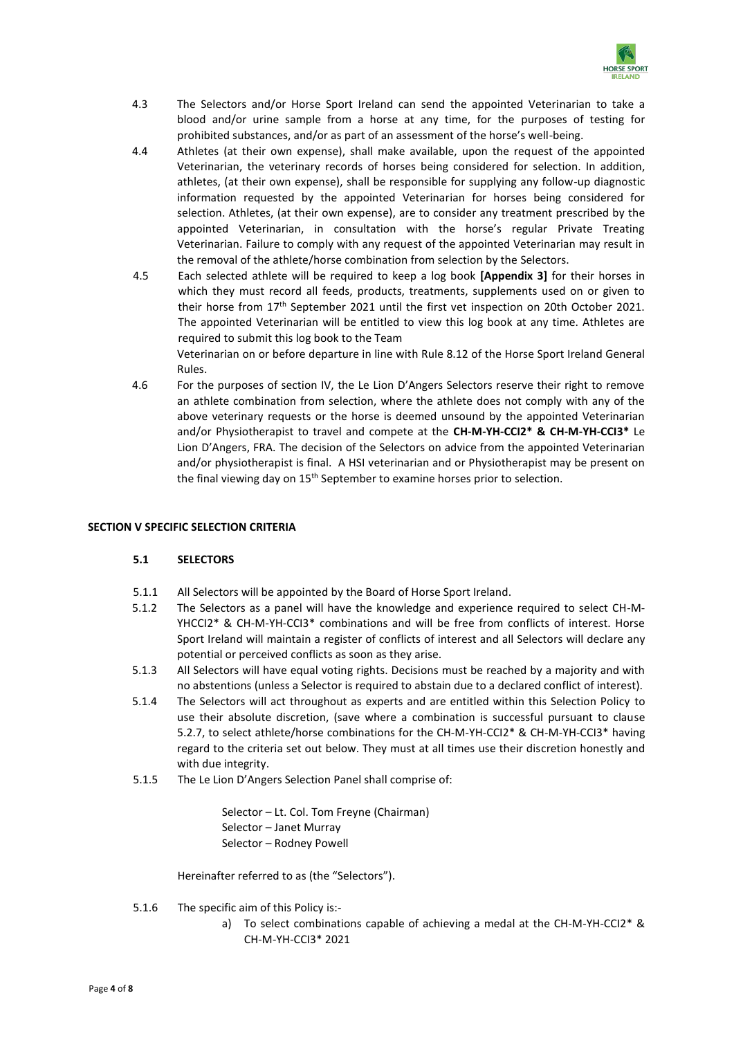

- 4.3 The Selectors and/or Horse Sport Ireland can send the appointed Veterinarian to take a blood and/or urine sample from a horse at any time, for the purposes of testing for prohibited substances, and/or as part of an assessment of the horse's well-being.
- 4.4 Athletes (at their own expense), shall make available, upon the request of the appointed Veterinarian, the veterinary records of horses being considered for selection. In addition, athletes, (at their own expense), shall be responsible for supplying any follow-up diagnostic information requested by the appointed Veterinarian for horses being considered for selection. Athletes, (at their own expense), are to consider any treatment prescribed by the appointed Veterinarian, in consultation with the horse's regular Private Treating Veterinarian. Failure to comply with any request of the appointed Veterinarian may result in the removal of the athlete/horse combination from selection by the Selectors.
- 4.5 Each selected athlete will be required to keep a log book **[Appendix 3]** for their horses in which they must record all feeds, products, treatments, supplements used on or given to their horse from 17<sup>th</sup> September 2021 until the first vet inspection on 20th October 2021. The appointed Veterinarian will be entitled to view this log book at any time. Athletes are required to submit this log book to the Team

Veterinarian on or before departure in line with Rule 8.12 of the Horse Sport Ireland General Rules.

4.6 For the purposes of section IV, the Le Lion D'Angers Selectors reserve their right to remove an athlete combination from selection, where the athlete does not comply with any of the above veterinary requests or the horse is deemed unsound by the appointed Veterinarian and/or Physiotherapist to travel and compete at the **CH-M-YH-CCI2\* & CH-M-YH-CCI3\*** Le Lion D'Angers, FRA. The decision of the Selectors on advice from the appointed Veterinarian and/or physiotherapist is final. A HSI veterinarian and or Physiotherapist may be present on the final viewing day on 15<sup>th</sup> September to examine horses prior to selection.

# **SECTION V SPECIFIC SELECTION CRITERIA**

#### **5.1 SELECTORS**

- 5.1.1 All Selectors will be appointed by the Board of Horse Sport Ireland.
- 5.1.2 The Selectors as a panel will have the knowledge and experience required to select CH-M-YHCCI2\* & CH-M-YH-CCI3\* combinations and will be free from conflicts of interest. Horse Sport Ireland will maintain a register of conflicts of interest and all Selectors will declare any potential or perceived conflicts as soon as they arise.
- 5.1.3 All Selectors will have equal voting rights. Decisions must be reached by a majority and with no abstentions (unless a Selector is required to abstain due to a declared conflict of interest).
- 5.1.4 The Selectors will act throughout as experts and are entitled within this Selection Policy to use their absolute discretion, (save where a combination is successful pursuant to clause 5.2.7, to select athlete/horse combinations for the CH-M-YH-CCI2\* & CH-M-YH-CCI3\* having regard to the criteria set out below. They must at all times use their discretion honestly and with due integrity.
- 5.1.5 The Le Lion D'Angers Selection Panel shall comprise of:

Selector – Lt. Col. Tom Freyne (Chairman) Selector – Janet Murray Selector – Rodney Powell

Hereinafter referred to as (the "Selectors").

- 5.1.6 The specific aim of this Policy is:
	- a) To select combinations capable of achieving a medal at the CH-M-YH-CCI2\* & CH-M-YH-CCI3\* 2021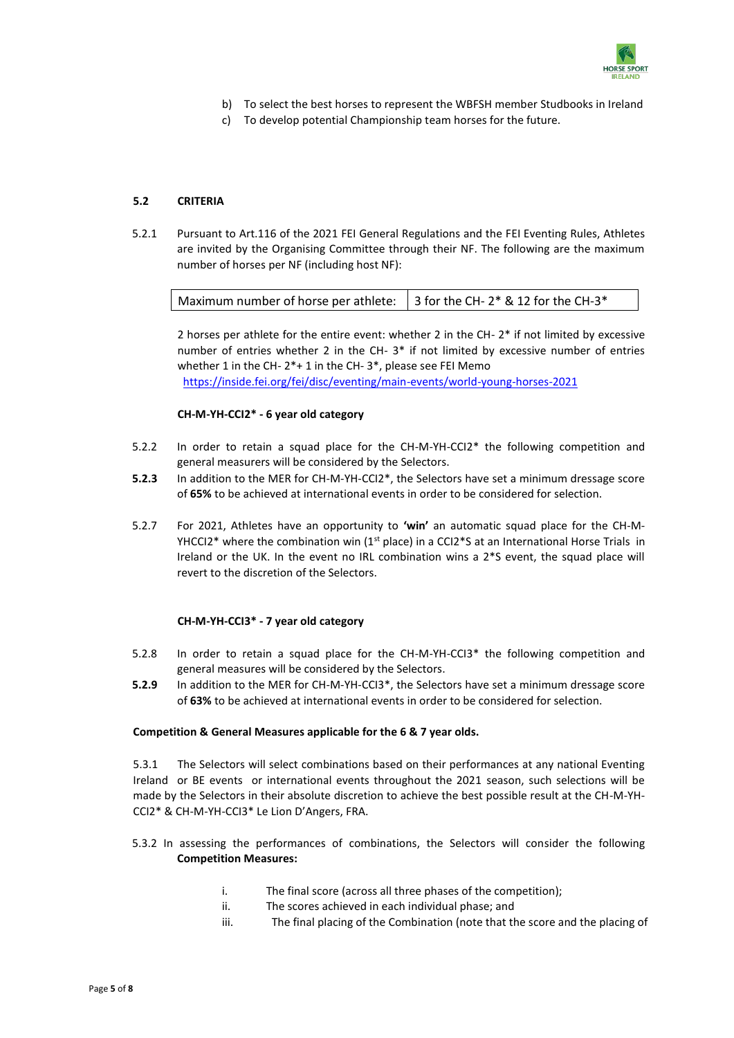

- b) To select the best horses to represent the WBFSH member Studbooks in Ireland
- c) To develop potential Championship team horses for the future.

# **5.2 CRITERIA**

5.2.1 Pursuant to Art.116 of the 2021 FEI General Regulations and the FEI Eventing Rules, Athletes are invited by the Organising Committee through their NF. The following are the maximum number of horses per NF (including host NF):

| Maximum number of horse per athlete: $\parallel$ 3 for the CH- 2* & 12 for the CH-3* |  |
|--------------------------------------------------------------------------------------|--|
|--------------------------------------------------------------------------------------|--|

2 horses per athlete for the entire event: whether 2 in the CH- 2\* if not limited by excessive number of entries whether 2 in the CH- 3\* if not limited by excessive number of entries whether 1 in the CH- 2\*+ 1 in the CH- 3\*, please see FEI Memo <https://inside.fei.org/fei/disc/eventing/main-events/world-young-horses-2021>

# **CH-M-YH-CCI2\* - 6 year old category**

- 5.2.2 In order to retain a squad place for the CH-M-YH-CCI2\* the following competition and general measurers will be considered by the Selectors.
- **5.2.3** In addition to the MER for CH-M-YH-CCI2\*, the Selectors have set a minimum dressage score of **65%** to be achieved at international events in order to be considered for selection.
- 5.2.7 For 2021, Athletes have an opportunity to **'win'** an automatic squad place for the CH-M-YHCCI2\* where the combination win  $(1<sup>st</sup>$  place) in a CCI2\*S at an International Horse Trials in Ireland or the UK. In the event no IRL combination wins a 2\*S event, the squad place will revert to the discretion of the Selectors.

# **CH-M-YH-CCI3\* - 7 year old category**

- 5.2.8 In order to retain a squad place for the CH-M-YH-CCI3\* the following competition and general measures will be considered by the Selectors.
- **5.2.9** In addition to the MER for CH-M-YH-CCI3\*, the Selectors have set a minimum dressage score of **63%** to be achieved at international events in order to be considered for selection.

# **Competition & General Measures applicable for the 6 & 7 year olds.**

5.3.1 The Selectors will select combinations based on their performances at any national Eventing Ireland or BE events or international events throughout the 2021 season, such selections will be made by the Selectors in their absolute discretion to achieve the best possible result at the CH-M-YH-CCI2\* & CH-M-YH-CCI3\* Le Lion D'Angers, FRA.

- 5.3.2 In assessing the performances of combinations, the Selectors will consider the following **Competition Measures:**
	- i. The final score (across all three phases of the competition);
	- ii. The scores achieved in each individual phase; and
	- iii. The final placing of the Combination (note that the score and the placing of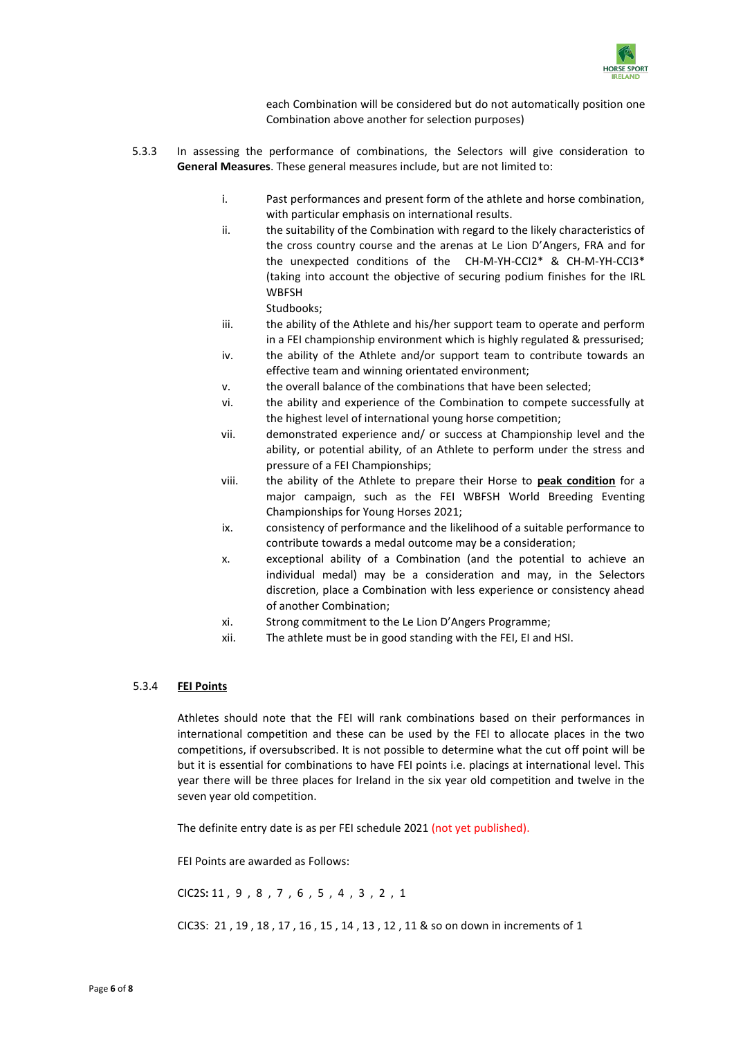

each Combination will be considered but do not automatically position one Combination above another for selection purposes)

- 5.3.3 In assessing the performance of combinations, the Selectors will give consideration to **General Measures**. These general measures include, but are not limited to:
	- i. Past performances and present form of the athlete and horse combination, with particular emphasis on international results.
	- ii. the suitability of the Combination with regard to the likely characteristics of the cross country course and the arenas at Le Lion D'Angers, FRA and for the unexpected conditions of the CH-M-YH-CCI2\* & CH-M-YH-CCI3\* (taking into account the objective of securing podium finishes for the IRL WBFSH

Studbooks;

- iii. the ability of the Athlete and his/her support team to operate and perform in a FEI championship environment which is highly regulated & pressurised;
- iv. the ability of the Athlete and/or support team to contribute towards an effective team and winning orientated environment;
- v. the overall balance of the combinations that have been selected;
- vi. the ability and experience of the Combination to compete successfully at the highest level of international young horse competition;
- vii. demonstrated experience and/ or success at Championship level and the ability, or potential ability, of an Athlete to perform under the stress and pressure of a FEI Championships;
- viii. the ability of the Athlete to prepare their Horse to **peak condition** for a major campaign, such as the FEI WBFSH World Breeding Eventing Championships for Young Horses 2021;
- ix. consistency of performance and the likelihood of a suitable performance to contribute towards a medal outcome may be a consideration;
- x. exceptional ability of a Combination (and the potential to achieve an individual medal) may be a consideration and may, in the Selectors discretion, place a Combination with less experience or consistency ahead of another Combination;
- xi. Strong commitment to the Le Lion D'Angers Programme;
- xii. The athlete must be in good standing with the FEI, EI and HSI.

#### 5.3.4 **FEI Points**

Athletes should note that the FEI will rank combinations based on their performances in international competition and these can be used by the FEI to allocate places in the two competitions, if oversubscribed. It is not possible to determine what the cut off point will be but it is essential for combinations to have FEI points i.e. placings at international level. This year there will be three places for Ireland in the six year old competition and twelve in the seven year old competition.

The definite entry date is as per FEI schedule 2021 (not yet published).

FEI Points are awarded as Follows:

CIC2S**:** 11 , 9 , 8 , 7 , 6 , 5 , 4 , 3 , 2 , 1

CIC3S: 21 , 19 , 18 , 17 , 16 , 15 , 14 , 13 , 12 , 11 & so on down in increments of 1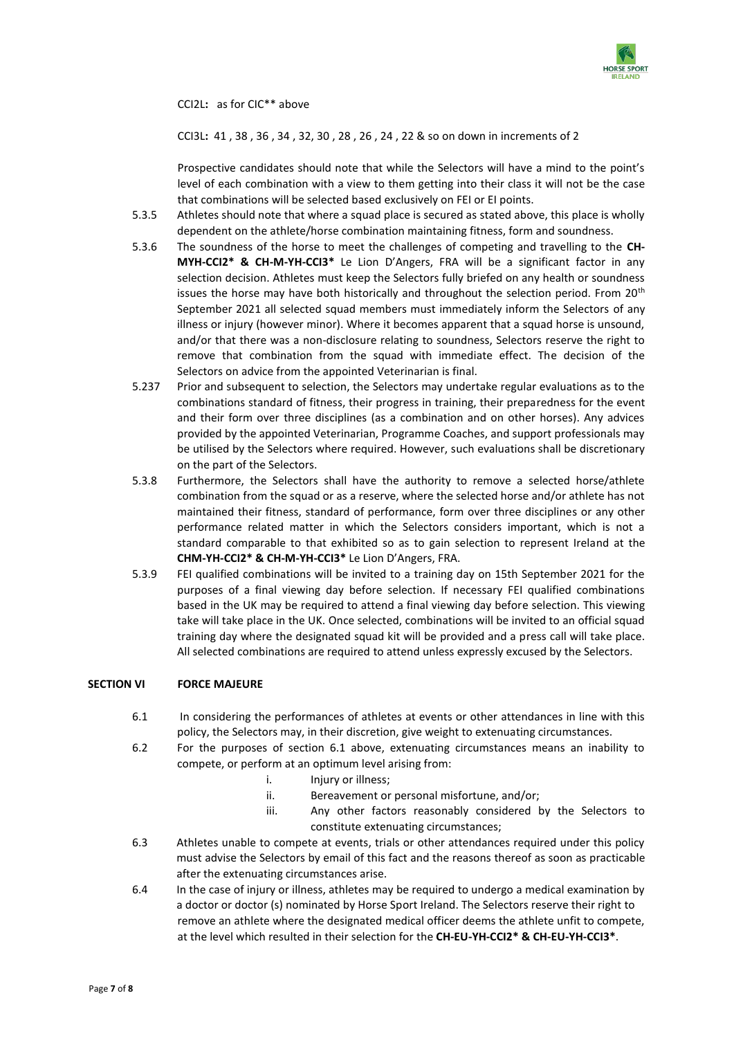

CCI2L**:** as for CIC\*\* above

CCI3L**:** 41 , 38 , 36 , 34 , 32, 30 , 28 , 26 , 24 , 22 & so on down in increments of 2

Prospective candidates should note that while the Selectors will have a mind to the point's level of each combination with a view to them getting into their class it will not be the case that combinations will be selected based exclusively on FEI or EI points.

- 5.3.5 Athletes should note that where a squad place is secured as stated above, this place is wholly dependent on the athlete/horse combination maintaining fitness, form and soundness.
- 5.3.6 The soundness of the horse to meet the challenges of competing and travelling to the **CH-MYH-CCI2\* & CH-M-YH-CCI3\*** Le Lion D'Angers, FRA will be a significant factor in any selection decision. Athletes must keep the Selectors fully briefed on any health or soundness issues the horse may have both historically and throughout the selection period. From  $20<sup>th</sup>$ September 2021 all selected squad members must immediately inform the Selectors of any illness or injury (however minor). Where it becomes apparent that a squad horse is unsound, and/or that there was a non-disclosure relating to soundness, Selectors reserve the right to remove that combination from the squad with immediate effect. The decision of the Selectors on advice from the appointed Veterinarian is final.
- 5.237 Prior and subsequent to selection, the Selectors may undertake regular evaluations as to the combinations standard of fitness, their progress in training, their preparedness for the event and their form over three disciplines (as a combination and on other horses). Any advices provided by the appointed Veterinarian, Programme Coaches, and support professionals may be utilised by the Selectors where required. However, such evaluations shall be discretionary on the part of the Selectors.
- 5.3.8 Furthermore, the Selectors shall have the authority to remove a selected horse/athlete combination from the squad or as a reserve, where the selected horse and/or athlete has not maintained their fitness, standard of performance, form over three disciplines or any other performance related matter in which the Selectors considers important, which is not a standard comparable to that exhibited so as to gain selection to represent Ireland at the **CHM-YH-CCI2\* & CH-M-YH-CCI3\*** Le Lion D'Angers, FRA.
- 5.3.9 FEI qualified combinations will be invited to a training day on 15th September 2021 for the purposes of a final viewing day before selection. If necessary FEI qualified combinations based in the UK may be required to attend a final viewing day before selection. This viewing take will take place in the UK. Once selected, combinations will be invited to an official squad training day where the designated squad kit will be provided and a press call will take place. All selected combinations are required to attend unless expressly excused by the Selectors.

#### **SECTION VI FORCE MAJEURE**

- 6.1 In considering the performances of athletes at events or other attendances in line with this policy, the Selectors may, in their discretion, give weight to extenuating circumstances.
- 6.2 For the purposes of section 6.1 above, extenuating circumstances means an inability to compete, or perform at an optimum level arising from:
	- i. Injury or illness;
	- ii. Bereavement or personal misfortune, and/or;
	- iii. Any other factors reasonably considered by the Selectors to constitute extenuating circumstances;
- 6.3 Athletes unable to compete at events, trials or other attendances required under this policy must advise the Selectors by email of this fact and the reasons thereof as soon as practicable after the extenuating circumstances arise.
- 6.4 In the case of injury or illness, athletes may be required to undergo a medical examination by a doctor or doctor (s) nominated by Horse Sport Ireland. The Selectors reserve their right to remove an athlete where the designated medical officer deems the athlete unfit to compete, at the level which resulted in their selection for the **CH-EU-YH-CCI2\* & CH-EU-YH-CCI3\***.